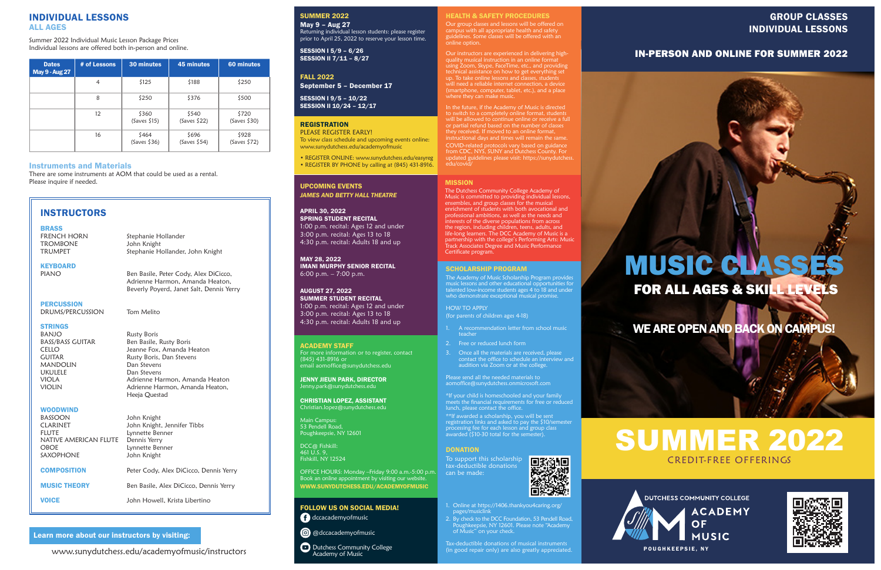### INDIVIDUAL LESSONS ALL AGES

Summer 2022 Individual Music Lesson Package Prices Individual lessons are offered both in-person and online.

| <b>Dates</b><br><b>May 9 - Aug 27</b> | # of Lessons | 30 minutes            | <b>45 minutes</b>     | 60 minutes               |
|---------------------------------------|--------------|-----------------------|-----------------------|--------------------------|
|                                       | 4            | \$125                 | \$188                 | \$250                    |
|                                       | 8            | \$250                 | \$376                 | \$500                    |
|                                       | 12           | \$360<br>(Saves \$15) | \$540<br>(Saves \$22) | \$720<br>(Saves \$30)    |
|                                       | 16           | \$464<br>(Saves \$36) | \$696<br>(Saves \$54) | \$928<br>$(Saves \ $72)$ |

#### Learn more about our instructors by visiting:

www.sunydutchess.edu/academyofmusic/instructors

PLEASE REGISTER EARLY! To view class schedule and upcoming events online: www.sunydutchess.edu/academyofmusic

- A recommendation letter from school music teacher
- 2. Free or reduced lunch form
- 3. Once all the materials are received, please contact the office to schedule an interview and audition via Zoom or at the college.

• REGISTER ONLINE: www.sunydutchess.edu/easyreg • REGISTER BY PHONE by calling at (845) 431-8916.

#### SCHOLARSHIP PROGRAM

The Academy of Music Scholarship Program provides music lessons and other educational opportunities for talented low-income students ages 4 to 18 and under who demonstrate exceptional musical promise.

HOW TO APPLY (for parents of children ages 4-18)

**D** Dutchess Community College Academy of Music

#### EALTH & SAFETY PROCEDURES

Main Campus: 53 Pendell Road, Poughkeepsie, NY 12601 Please send all the needed materials to aomoffice@sunydutchess.onmicrosoft.com

\*If your child is homeschooled and your family meets the financial requirements for free or reduced lunch, please contact the office.

\*\*If awarded a scholarship, you will be sent registration links and asked to pay the \$10/semester processing fee for each lesson and group class awarded (\$10-30 total for the semester).

#### **DONATION**

To support this scholarship tax-deductible donations can be made:



Ben Basile, Peter Cody, Alex DiCicco, Adrienne Harmon, Amanda Heaton, Beverly Poyerd, Janet Salt, Dennis Yerry

**PERCUSSION** 

- 1. Online at https://1406.thankyou4caring.org/ pages/musiclink
- 2. By check to the DCC Foundation, 53 Pendell Road, Poughkeepsie, NY 12601. Please note "Academy of Music" on your check.

Rusty Boris BASS/BASS GUITAR Ben Basile, Rusty Boris CELLO Jeanne Fox, Amanda Heaton GUITAR Rusty Boris, Dan Stevens VIOLA **Adrienne Harmon, Amanda Heaton** VIOLIN Adrienne Harmon, Amanda Heaton, Heeja Questad

#### **WOODWIND**

Tax-deductible donations of musical instruments (in good repair only) are also greatly appreciated.

#### FOLLOW US ON SOCIAL MEDIA!

dccacademyofmusic

**@** @dccacademyofmusic

ACADEMY STAFF For more information or to register, contact (845) 431-8916 or email aomoffice@sunydutchess.edu

JENNY JIEUN PARK, DIRECTOR Jenny.park@sunydutchess.edu

CHRISTIAN LOPEZ, ASSISTANT Christian.lopez@sunydutchess.edu

DCC@ Fishkill: 461 U.S. 9, Fishkill, NY 12524

OFFICE HOURS: Monday –Friday 9:00 a.m.-5:00 p.m. Book an online appointment by visiting our website. WWW.SUNYDUTCHESS.EDU/ACADEMYOFMUSIC

#### SUMMER 2022

May 9 – Aug 27 Returning individual lesson students: please register prior to April 25, 2022 to reserve your lesson time.

SESSION I 5/9 – 6/26 SESSION II 7/11 – 8/27

#### FALL 2022

September 5 – December 17

SESSION I 9/5 – 10/22 SESSION II 10/24 – 12/17

#### **REGISTRATION**

UPCOMING EVENTS *JAMES AND BETTY HALL THEATRE*

#### APRIL 30, 2022 SPRING STUDENT RECITAL 1:00 p.m. recital: Ages 12 and under 3:00 p.m. recital: Ages 13 to 18 4:30 p.m. recital: Adults 18 and up

MAY 28, 2022 IMANI MURPHY SENIOR RECITAL 6:00 p.m. – 7:00 p.m.

AUGUST 27, 2022 SUMMER STUDENT RECITAL 1:00 p.m. recital: Ages 12 and under

3:00 p.m. recital: Ages 13 to 18 4:30 p.m. recital: Adults 18 and up

## INSTRUCTORS

#### BRASS

| FRENCH HORN     |  |
|-----------------|--|
| <b>TROMBONE</b> |  |
| TRUMPET         |  |

Stephanie Hollander John Knight Stephanie Hollander, John Knight

## **KEYBOARD**<br>PIANO

DRUMS/PERCUSSION Tom Melito

**STRINGS**<br>BANJO MANDOLIN Dan Stevens UKULELE Dan Stevens

| <b>WUUDWIND</b>       |                                        |
|-----------------------|----------------------------------------|
| <b>BASSOON</b>        | John Knight                            |
| <b>CLARINET</b>       | John Knight, Jennifer Tibbs            |
| <b>FLUTE</b>          | Lynnette Benner                        |
| NATIVE AMERICAN FLUTE | Dennis Yerry                           |
| <b>OBOE</b>           | Lynnette Benner                        |
| <b>SAXOPHONE</b>      | John Knight                            |
|                       |                                        |
| <b>COMPOSITION</b>    | Peter Cody, Alex DiCicco, Dennis Yerry |
|                       |                                        |
| <b>MUSIC THEORY</b>   | Ben Basile, Alex DiCicco, Dennis Yerry |
|                       |                                        |
| <b>VOICE</b>          | John Howell, Krista Libertino          |

Our group classes and lessons will be offered on campus with all appropriate health and safety guidelines. Some classes will be offered with an

Our instructors are experienced in delivering highquality musical instruction in an online format using Zoom, Skype, FaceTime, etc., and providing technical assistance on how to get everything set up. To take online lessons and classes, students

to switch to a completely online format, students will be allowed to continue online or receive a full instructional days and times will remain the same. COVID-related protocols vary based on guidance from CDC, NYS, SUNY and Dutchess County. For updated guidelines please visit: https://sunydutchess.

edu/covid/

#### MISSION

The Dutchess Community College Academy of Music is committed to providing individual lessons, ensembles, and group classes for the musical enrichment of students with both avocational and professional ambitions, as well as the needs and interests of the diverse populations from across the region, including children, teens, adults, and life-long learners. The DCC Academy of Music is a partnership with the college's Performing Arts: Music Track Associates Degree and Music Performance Certificate program.

#### Instruments and Materials

There are some instruments at AOM that could be used as a rental. Please inquire if needed.



# FOR ALL AGES & SKILL LEVELS

WE ARE OPEN AND BACK ON CAMPUS!

# SUMMER 2022 CREDIT-FREE OFFERINGS



## GROUP CLASSES INDIVIDUAL LESSONS

IN-PERSON AND ONLINE FOR SUMMER 2022

# **MUSIC CLASS**